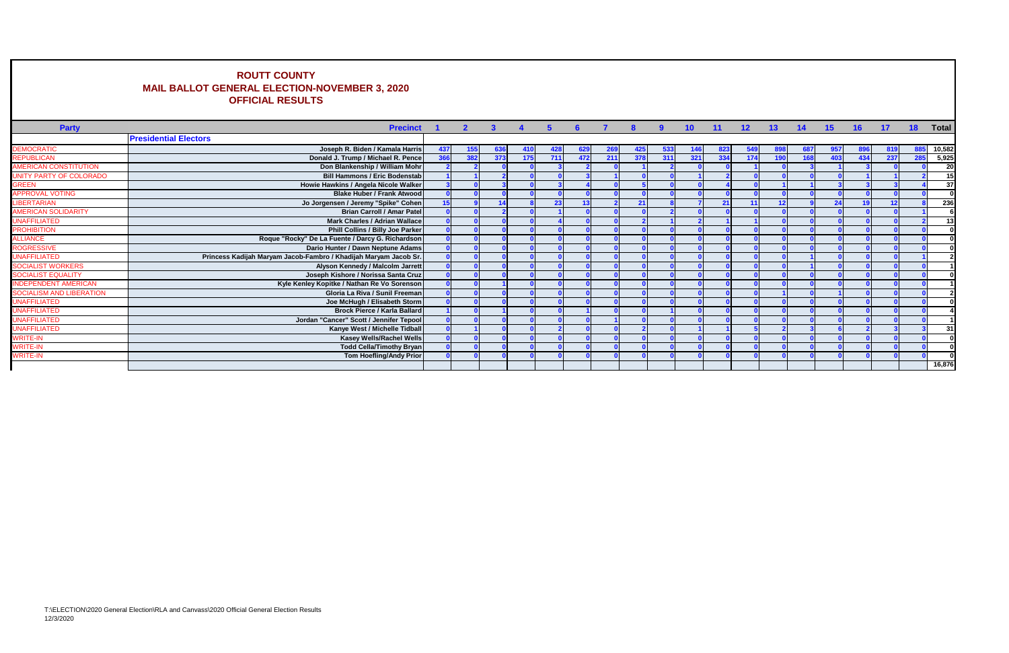## **ROUTT COUNTY MAIL BALLOT GENERAL ELECTION-NOVEMBER 3, 2020 OFFICIAL RESULTS**

 $\mathbf{I}$ 

|                                 | <b>MAIL BALLOT GENERAL ELECTION-NOVEMBER 3, 2020</b><br><b>OFFICIAL RESULTS</b> |                 |                |                |                      |            |     |                |     |     |                 |       |                 |     |     |     |     |     |     |              |
|---------------------------------|---------------------------------------------------------------------------------|-----------------|----------------|----------------|----------------------|------------|-----|----------------|-----|-----|-----------------|-------|-----------------|-----|-----|-----|-----|-----|-----|--------------|
| <b>Party</b>                    | <b>Precinct</b>                                                                 |                 | $\overline{2}$ | 3 <sup>1</sup> | $\blacktriangleleft$ | $\sqrt{5}$ | 6   | $\overline{7}$ | 8   | -9  | 10 <sup>1</sup> | $-11$ | 12 <sub>2</sub> | 13  | 14  | 15  | 16  | 17  | 18  | <b>Total</b> |
|                                 | <b>Presidential Electors</b>                                                    |                 |                |                |                      |            |     |                |     |     |                 |       |                 |     |     |     |     |     |     |              |
| <b>DEMOCRATIC</b>               | Joseph R. Biden / Kamala Harris                                                 | 437             | 155            | 636            | 410                  | 428        | 629 | <b>269</b>     | 425 | 533 | 146             | 823   | 549             |     |     | 957 |     |     |     | 10,582       |
| <b>REPUBLICAN</b>               | Donald J. Trump / Michael R. Pence                                              | 366             | 382            | 373            | 175                  | 711        | 472 | 211            | 378 | 311 | 321             | 334   | 174             | 190 | 168 | 403 | 434 | 237 | 285 | 5,925        |
| <b>AMERICAN CONSTITUTION</b>    | Don Blankenship / William Mohr                                                  |                 |                |                |                      |            |     |                |     |     |                 |       |                 |     |     |     |     |     |     | <b>20</b>    |
| UNITY PARTY OF COLORADO         | <b>Bill Hammons / Eric Bodenstab</b>                                            |                 |                |                |                      |            |     |                |     |     |                 |       |                 |     |     |     |     |     |     | 15           |
| <b>GREEN</b>                    | Howie Hawkins / Angela Nicole Walker                                            |                 |                |                |                      |            |     |                |     |     |                 |       |                 |     |     |     |     |     |     | 37           |
| <b>APPROVAL VOTING</b>          | <b>Blake Huber / Frank Atwood</b>                                               |                 |                |                |                      |            |     |                |     |     |                 |       |                 |     |     |     |     |     |     |              |
| <b>LIBERTARIAN</b>              | Jo Jorgensen / Jeremy "Spike" Cohen                                             | 15 <sub>l</sub> |                |                |                      | 23         |     |                | 21  |     |                 | 21    |                 | 12  |     | 24  | 10  |     |     | 236          |
| AMERICAN SOLIDARITY             | <b>Brian Carroll / Amar Patel</b>                                               |                 |                |                |                      |            |     |                |     |     |                 |       |                 |     |     |     |     |     |     |              |
| <b>UNAFFILIATED</b>             | <b>Mark Charles / Adrian Wallace</b>                                            |                 |                |                |                      |            |     |                |     |     |                 |       |                 |     |     |     |     |     |     | 13           |
| <b>PROHIBITION</b>              | Phill Collins / Billy Joe Parker                                                |                 |                |                |                      |            |     |                |     |     |                 |       |                 |     |     |     |     |     |     |              |
| <b>ALLIANCE</b>                 | Roque "Rocky" De La Fuente / Darcy G. Richardson                                |                 |                |                |                      |            |     |                |     |     |                 |       |                 |     |     |     |     |     |     |              |
| <b>ROGRESSIVE</b>               | Dario Hunter / Dawn Neptune Adams                                               |                 |                |                |                      |            |     |                |     |     |                 |       |                 |     |     |     |     |     |     |              |
| <b>UNAFFILIATED</b>             | Princess Kadijah Maryam Jacob-Fambro / Khadijah Maryam Jacob Sr.                |                 |                |                |                      |            |     |                |     |     |                 |       |                 |     |     |     |     |     |     |              |
| <b>SOCIALIST WORKERS</b>        | Alyson Kennedy / Malcolm Jarrett                                                |                 |                |                |                      |            |     |                |     |     |                 |       |                 |     |     |     |     |     |     |              |
| <b>SOCIALIST EQUALITY</b>       | Joseph Kishore / Norissa Santa Cruz                                             |                 |                |                |                      |            |     |                |     |     |                 |       |                 |     |     |     |     |     |     |              |
| <b>INDEPENDENT AMERICAN</b>     | Kyle Kenley Kopitke / Nathan Re Vo Sorenson                                     |                 |                |                |                      |            |     |                |     |     |                 |       |                 |     |     |     |     |     |     |              |
| <b>SOCIALISM AND LIBERATION</b> | Gloria La Riva / Sunil Freeman                                                  |                 |                |                |                      |            |     |                |     |     |                 |       |                 |     |     |     |     |     |     |              |
| <b>UNAFFILIATED</b>             | Joe McHugh / Elisabeth Storm                                                    |                 |                |                |                      |            |     |                |     |     |                 |       |                 |     |     |     |     |     |     |              |
| <b>UNAFFILIATED</b>             | <b>Brock Pierce / Karla Ballard</b>                                             |                 |                |                |                      |            |     |                |     |     |                 |       |                 |     |     |     |     |     |     |              |
| <b>UNAFFILIATED</b>             | Jordan "Cancer" Scott / Jennifer Tepool                                         |                 |                |                |                      |            |     |                |     |     |                 |       |                 |     |     |     |     |     |     |              |
| <b>UNAFFILIATED</b>             | Kanye West / Michelle Tidball                                                   |                 |                |                |                      |            |     |                |     |     |                 |       |                 |     |     |     |     |     |     | 31           |
| <b>NRITE-IN</b>                 | <b>Kasey Wells/Rachel Wells</b>                                                 |                 |                |                |                      |            |     |                |     |     |                 |       |                 |     |     |     |     |     |     |              |
| <b>NRITE-IN</b>                 | <b>Todd Cella/Timothy Bryan</b>                                                 |                 |                |                |                      |            |     |                |     |     |                 |       |                 |     |     |     |     |     |     |              |
| <b>NRITE-IN</b>                 | <b>Tom Hoefling/Andy Prior</b>                                                  |                 |                |                |                      |            |     |                |     |     |                 |       |                 |     |     |     |     |     |     |              |
|                                 |                                                                                 |                 |                |                |                      |            |     |                |     |     |                 |       |                 |     |     |     |     |     |     | 16,876       |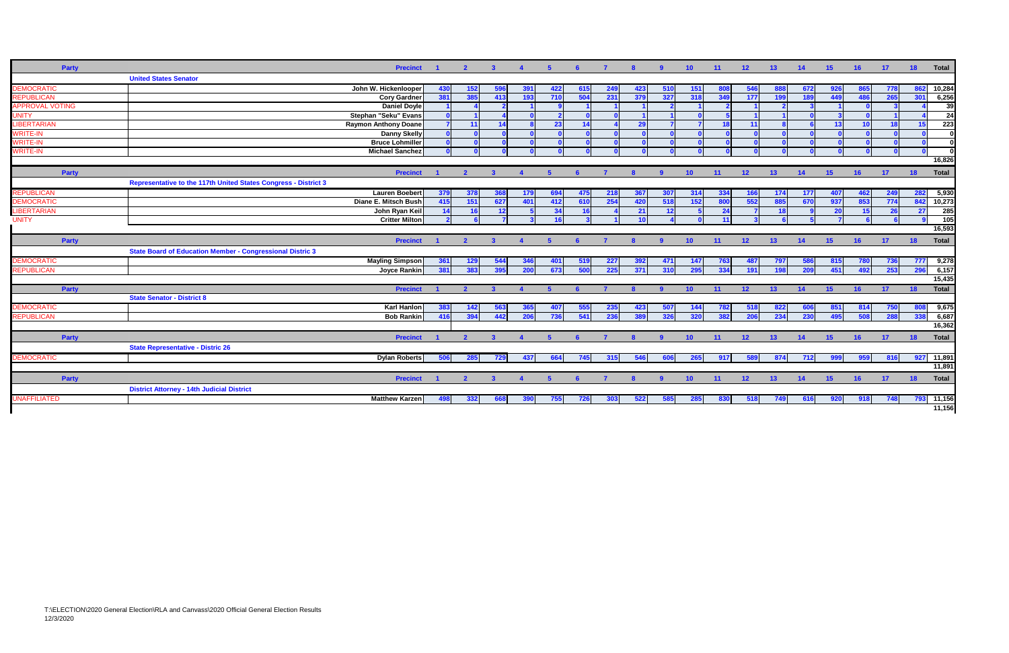| <b>Party</b>           |                                                                  | <b>Precinct</b>             |          | $\overline{2}$ | $\mathbf{3}$ | $\overline{4}$   | 5   | - 6             | $\mathbf{7}$ | -8           | -9           | 10 <sup>°</sup> | 11  | 12 <sup>2</sup> | 13  | 14    | 15 <sub>1</sub> | 16  | $-17$ | 18    | <b>Total</b>    |
|------------------------|------------------------------------------------------------------|-----------------------------|----------|----------------|--------------|------------------|-----|-----------------|--------------|--------------|--------------|-----------------|-----|-----------------|-----|-------|-----------------|-----|-------|-------|-----------------|
|                        | <b>United States Senator</b>                                     |                             |          |                |              |                  |     |                 |              |              |              |                 |     |                 |     |       |                 |     |       |       |                 |
| <b>DEMOCRATIC</b>      |                                                                  | John W. Hickenlooper        | 430      | 152            | -596         | -391             | 422 | 615             | 249          | 423          | - 510        | <b>151</b>      |     | 546             | 888 | - 672 |                 |     | 778   | 862   | 10,284          |
| <b>REPUBLICAN</b>      |                                                                  | <b>Cory Gardner</b>         | 381      | 385            | 413          | 193              | 710 | 504             | 231          | 379          | 327          | 318             | 349 | 177             | 199 | 189   | 449             | 486 | 265   | 301   | 6,256           |
| <b>APPROVAL VOTING</b> |                                                                  | <b>Daniel Doyle</b>         |          |                |              |                  |     |                 |              |              |              |                 |     |                 |     |       |                 |     |       |       | 39              |
| <b>UNITY</b>           |                                                                  | Stephan "Seku" Evans        | $\Omega$ |                |              |                  |     |                 |              |              |              |                 |     |                 |     |       |                 |     |       |       | 24              |
| <b>LIBERTARIAN</b>     |                                                                  | <b>Raymon Anthony Doane</b> |          | $-11$          | 14           |                  | 23  | 14              |              | -291         |              |                 | 18  | 11              |     |       | 13              | 10  | 18    | 15    | 223             |
| <b>WRITE-IN</b>        |                                                                  | <b>Danny Skelly</b>         |          |                |              |                  |     |                 |              |              |              |                 |     |                 |     |       |                 |     |       |       |                 |
| <b>WRITE-IN</b>        |                                                                  | <b>Bruce Lohmiller</b>      |          |                |              |                  |     |                 |              |              |              |                 |     |                 |     |       |                 |     |       |       |                 |
| <b>WRITE-IN</b>        |                                                                  | <b>Michael Sanchez</b>      |          |                |              |                  |     |                 |              |              |              |                 |     |                 |     |       |                 |     |       |       |                 |
|                        |                                                                  |                             |          |                |              |                  |     |                 |              |              |              |                 |     |                 |     |       |                 |     |       |       | 16,826          |
| <b>Party</b>           |                                                                  | <b>Precinct</b>             |          | $\overline{2}$ | $\mathbf{3}$ |                  |     | -6              |              |              | <b>9</b>     | 10              | 11  | 12 <sub>2</sub> | 13  | 14    | 15              | 16  | 17    | 18    | <b>Total</b>    |
|                        | Representative to the 117th United States Congress - District 3  |                             |          |                |              |                  |     |                 |              |              |              |                 |     |                 |     |       |                 |     |       |       |                 |
| <b>REPUBLICAN</b>      |                                                                  | <b>Lauren Boebert</b>       | 379      | 378            | 368          | 179              | 694 | 475             | 218          | 367          | 307          | 314             | 334 | 166             | 174 | 177   | 407             | 462 | 249   | 282   | 5,930           |
| <b>DEMOCRATIC</b>      |                                                                  | Diane E. Mitsch Bush        | 415      | 151            | 627          | 401              | 412 | 610             | 254          | 420          | 518          | 152             | 800 | 552             | 885 | 670   | 937             | 853 | 774   | 842   | 10,273          |
| <b>LIBERTARIAN</b>     |                                                                  | John Ryan Keil              | 14       | 16             | 12           |                  | 34  | 16 <sup>1</sup> |              | 21           | 12           |                 | 24  |                 | -18 |       | <b>20</b>       | 15  | 26    | 27    | 285             |
| <b>UNITY</b>           |                                                                  | <b>Critter Milton</b>       |          |                |              |                  | 16  |                 |              | 10           |              |                 | 11  |                 |     |       |                 |     |       |       | $\frac{105}{2}$ |
|                        |                                                                  |                             |          |                |              |                  |     |                 |              |              |              |                 |     |                 |     |       |                 |     |       |       | 16,593          |
| <b>Party</b>           |                                                                  | <b>Precinct</b>             |          | $\overline{2}$ | $\mathbf{3}$ | $\blacktriangle$ | 5.  | -6              |              | $\mathbf{R}$ | $\mathbf{q}$ | 10 <sup>°</sup> | 11  | 12              | 13  | 14    | 15              | 16  | $-17$ | 18    | <b>Total</b>    |
|                        | <b>State Board of Education Member - Congressional Distric 3</b> |                             |          |                |              |                  |     |                 |              |              |              |                 |     |                 |     |       |                 |     |       |       |                 |
| <b>DEMOCRATIC</b>      |                                                                  | <b>Mayling Simpson</b>      | 361      | 129            | 544          | 346              | 401 | 519             | 227          | 392          | - 471        | 147             | 763 | 487             | 797 | 586   | 815             | 780 | 736   | 777   | 9,278           |
| <b>REPUBLICAN</b>      |                                                                  | Joyce Rankin                | 381      | 383            | 395          | 200              | 673 | 500             | 225          | 371          | 310          | 295             | 334 | 191             | 198 | 209   | 451             | 492 | 253   | 296   | 6,157           |
|                        |                                                                  |                             |          |                |              |                  |     |                 |              |              |              |                 |     |                 |     |       |                 |     |       |       | 15,435          |
| <b>Party</b>           |                                                                  | <b>Precinct</b>             |          |                |              |                  |     |                 |              |              |              | 10 <sup>1</sup> | 11  | 12 <sup>2</sup> | 13  | 14    | 15              | 16  | $-17$ | $-18$ | Total           |
|                        | <b>State Senator - District 8</b>                                |                             |          |                |              |                  |     |                 |              |              |              |                 |     |                 |     |       |                 |     |       |       |                 |
| <b>DEMOCRATIC</b>      |                                                                  | <b>Karl Hanlon</b>          | 383      | 142            | 563          |                  |     | 555             | 235          | 423          |              | 144             | 782 | 518             | 822 |       |                 | 814 |       | 808   | 9,675           |
| <b>REPUBLICAN</b>      |                                                                  | <b>Bob Rankin</b>           | 416      | 394            | 442          | 206              | 736 | 541             | 236          | 389          | 326          | 320             | 382 | 206             | 234 | 230   | 495             | 508 | 288   | 338   | 6,687           |
|                        |                                                                  |                             |          |                |              |                  |     |                 |              |              |              |                 |     |                 |     |       |                 |     |       |       | 16,362          |
| <b>Party</b>           |                                                                  | <b>Precinct</b>             |          | $\overline{2}$ | $\mathbf{3}$ | $\blacktriangle$ |     | -6              |              |              | $\mathbf{q}$ | 10              | 11  | 12 <sup>2</sup> | 13  | 14    | 15              | 16  | 17    | 18    | <b>Total</b>    |
|                        | <b>State Representative - Distric 26</b>                         |                             |          |                |              |                  |     |                 |              |              |              |                 |     |                 |     |       |                 |     |       |       |                 |
| <b>DEMOCRATIC</b>      |                                                                  | <b>Dylan Roberts</b>        | 506      | 285            | 729          | 437              | 664 | 745             | 315          | 546          | 606          | 265             | 917 | 589             | 874 | 712   | 999             | 959 | 816   |       | 927 11,891      |
|                        |                                                                  |                             |          |                |              |                  |     |                 |              |              |              |                 |     |                 |     |       |                 |     |       |       | 11,891          |
| <b>Party</b>           |                                                                  | <b>Precinct</b>             |          | $\overline{2}$ |              |                  |     |                 |              |              |              | 10              | 11  | 12              | 13  | 14    | 15              | 16  | 17    | 18    | <b>Total</b>    |
|                        | <b>District Attorney - 14th Judicial District</b>                |                             |          |                |              |                  |     |                 |              |              |              |                 |     |                 |     |       |                 |     |       |       |                 |
| <b>UNAFFILIATED</b>    |                                                                  | <b>Matthew Karzen</b>       | 498      | 332            | 668          | 390              | 755 | 726             | 303          | 522          | 585          | 285             | 830 | 518             | 749 | 616   | 920             | 918 | 748   |       | 793 11,156      |
|                        |                                                                  |                             |          |                |              |                  |     |                 |              |              |              |                 |     |                 |     |       |                 |     |       |       | 11,156          |
|                        |                                                                  |                             |          |                |              |                  |     |                 |              |              |              |                 |     |                 |     |       |                 |     |       |       |                 |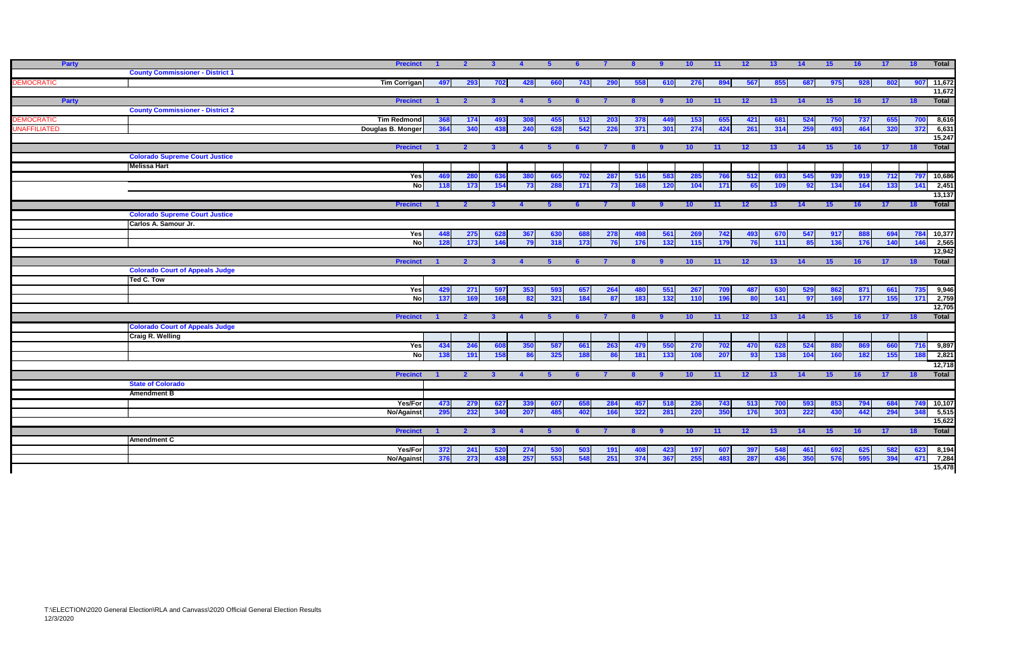| <b>Party</b>        |                                                               | <b>Precinct</b>     | $\blacksquare$ | $\overline{2}$ | $\mathbf{3}$   |              |     |     |     | -8           | -9         | 10 <sup>°</sup> | 11    | 12 <sup>2</sup> | 13    | 14  | 15              | 16   | 17 <sup>2</sup> | 18                | Total           |
|---------------------|---------------------------------------------------------------|---------------------|----------------|----------------|----------------|--------------|-----|-----|-----|--------------|------------|-----------------|-------|-----------------|-------|-----|-----------------|------|-----------------|-------------------|-----------------|
|                     | <b>County Commissioner - District 1</b>                       |                     |                |                |                |              |     |     |     |              |            |                 |       |                 |       |     |                 |      |                 |                   |                 |
| <b>EMOCRATIC</b>    |                                                               | <b>Tim Corrigan</b> | 497            | 293            | 702            | 428          | 660 | 743 | 290 | 558          | 610        | 276             | 894   | 567             | 855   | 687 | 975             | 928  | 802             | 907               | 11,672          |
| Party               |                                                               | <b>Precinct</b>     | $\blacksquare$ | $\overline{2}$ |                | $\mathbf{A}$ |     |     |     |              |            | 10 <sup>°</sup> | $-11$ | 12              | 13    | 14  | 15              | 16   | 17              | 18                | 11,672<br>Total |
|                     | <b>County Commissioner - District 2</b>                       |                     |                |                |                |              |     |     |     |              |            |                 |       |                 |       |     |                 |      |                 |                   |                 |
| <b>EMOCRATIC</b>    |                                                               | <b>Tim Redmond</b>  | 368            | 174            | 493            | 308          | 455 | 512 | 203 | 378          | 449        | 153             | 655   | 421             | 681   | 524 | 750             | 737  | 655             | 700               | 8,616           |
| <b>UNAFFILIATED</b> |                                                               | Douglas B. Monger   | 364            | 340            | 438            | 240          | 628 | 542 | 226 | 371          | 301        | 274             | 424   | 261             | 314   | 259 | 493             | 464  | 320             | 372               | 6,631           |
|                     |                                                               |                     |                |                |                |              |     |     |     |              |            |                 |       |                 |       |     |                 |      |                 |                   | 15,247          |
|                     |                                                               | <b>Precinct</b>     |                | $\overline{2}$ |                |              |     |     |     |              |            | 10 <sup>°</sup> | 11    | 12              | 13    | 14  | 15              | 16   | 17              | 18                | Total           |
|                     | <b>Colorado Supreme Court Justice</b>                         |                     |                |                |                |              |     |     |     |              |            |                 |       |                 |       |     |                 |      |                 |                   |                 |
|                     | <b>Melissa Hart</b>                                           |                     |                |                |                |              |     |     |     |              |            |                 |       |                 |       |     |                 |      |                 |                   |                 |
|                     |                                                               | Yes                 | 469            | 280            | 636            | 380          | 665 | 702 | 287 | 516          | 583        | 285             | 766   | $-512$          | 693   | 545 | 939             | 919  | 712             | 797               | 10,686          |
|                     |                                                               | $\overline{N}$      | 118            | 173            | 154            | 73           | 288 | 171 | 73  | 168          | <b>120</b> | 104             | 171   | 65              | 109   | 92  | 134             | 164  | 133             | 141               | 2,451           |
|                     |                                                               |                     |                |                |                |              |     |     |     |              |            |                 |       |                 |       |     |                 |      |                 |                   | 13,137          |
|                     |                                                               | <b>Precinct</b>     |                | $\mathbf{2}$   | 3 <sup>1</sup> |              | - 5 |     |     |              |            | 10 <sup>°</sup> | $-11$ | 12              | 13    | 14  | 15              | 16   | 17 <sup>2</sup> | $-18$             | Total           |
|                     | <b>Colorado Supreme Court Justice</b><br>Carlos A. Samour Jr. |                     |                |                |                |              |     |     |     |              |            |                 |       |                 |       |     |                 |      |                 |                   |                 |
|                     |                                                               | Yesl                | 448            | 275            | 628            | 367          | 630 | 688 | 278 |              | 561        | 269             | 742   | 493             | 670   | 547 | 917             | -888 | 694             | 784 10,377        |                 |
|                     |                                                               | Nol                 | 128            | 173            | 146            | 79           | 318 | 173 | 76  | - 498<br>176 | 132        | 115             | 179   | 76              | 111   | 85  | 136             | 176  | 140             | 146               | 2,565           |
|                     |                                                               |                     |                |                |                |              |     |     |     |              |            |                 |       |                 |       |     |                 |      |                 |                   | 12,942          |
|                     |                                                               | <b>Precinct</b>     |                | $\mathbf{2}$   |                |              |     |     |     |              |            | 10 <sup>°</sup> | 11    | 12              | 13    | 14  | 15 <sup>1</sup> | 16   | 17 <sup>2</sup> | 18                | Total           |
|                     | <b>Colorado Court of Appeals Judge</b>                        |                     |                |                |                |              |     |     |     |              |            |                 |       |                 |       |     |                 |      |                 |                   |                 |
|                     | Ted C. Tow                                                    |                     |                |                |                |              |     |     |     |              |            |                 |       |                 |       |     |                 |      |                 |                   |                 |
|                     |                                                               | Yes                 | 429            | 271            | 597            | 353          | 593 | 657 | 264 | 480          | 551        | 267             | 709   | 487             | 630   | 529 | 862             | 871  | 661             | 735               | 9,946           |
|                     |                                                               | Nol                 | 137            | 169            | 168            | 82           | 321 | 184 | 87  | 183          | 132        | 110             | 196   | 80              | 141   | 97  | 169             | 177  | 155             | 171               | 2,759           |
|                     |                                                               |                     |                |                |                |              |     |     |     |              |            |                 |       |                 |       |     |                 |      |                 |                   | 12,705          |
|                     |                                                               | <b>Precinct</b>     |                | $\overline{2}$ | $\mathbf{3}$   |              |     |     |     |              |            | 10 <sup>°</sup> | 11    | 12              | 13    | 14  | 15              | 16   | 17              | 18                | Total           |
|                     | <b>Colorado Court of Appeals Judge</b>                        |                     |                |                |                |              |     |     |     |              |            |                 |       |                 |       |     |                 |      |                 |                   |                 |
|                     | <b>Craig R. Welling</b>                                       | Yes                 | 434            | 246            | 608            | 350          | 587 | 661 | 263 | 479          | 550        | <b>270</b>      | 702   | 470             | 628   | 524 | 880             | 869  | 660             | 716               | 9,897           |
|                     |                                                               | <b>No</b>           | 138            | 191            | 158            | 86           | 325 | 188 |     | 181          | 133        | 108             | 207   | 93              | 138   | 104 | 160             | 182  | 155             | 188               | 2,821           |
|                     |                                                               |                     |                |                |                |              |     |     |     |              |            |                 |       |                 |       |     |                 |      |                 |                   | 12,718          |
|                     |                                                               | <b>Precinct</b>     |                | -2             |                |              |     |     |     |              |            |                 | $-11$ | 12              | $-13$ | 14  | -15             | 16   | 17              | 18                | Total           |
|                     | <b>State of Colorado</b>                                      |                     |                |                |                |              |     |     |     |              |            |                 |       |                 |       |     |                 |      |                 |                   |                 |
|                     | <b>Amendment B</b>                                            |                     |                |                |                |              |     |     |     |              |            |                 |       |                 |       |     |                 |      |                 |                   |                 |
|                     |                                                               | Yes/For             | 473            | 279            | 627            | 339          | 607 | 658 | 284 | 457          | 518        | 236             | 743   | 513             | 700   | 593 | 853             | 794  | 684             | <b>749</b> 10,107 |                 |
|                     |                                                               | No/Against          | 295            | 232            | 340            | 207          | 485 | 402 | 166 | 322          | 281        | 220             | 350   | 176             | 303   | 222 | 430             | 442  | 294             | 348               | 5,515           |
|                     |                                                               |                     |                |                |                |              |     |     |     |              |            |                 |       |                 |       |     |                 |      |                 |                   | 15,622          |
|                     |                                                               | <b>Precinct</b>     |                | $\overline{2}$ |                |              |     |     |     |              |            |                 | 11    | 12              | 13    | 14  | 15              | 16   | 17              | 18                | Total           |
|                     | <b>Amendment C</b>                                            |                     |                |                |                |              |     |     |     |              |            |                 |       |                 |       |     |                 |      |                 |                   |                 |
|                     |                                                               | Yes/For             | 372            | 241            | 520            | 274          | 530 | 503 | 191 |              |            | 197             | 607   | 397             | 548   | 461 |                 | 625  |                 |                   | 8,194           |
|                     |                                                               | No/Against          | 376            | 273            | 438            | 257          | 553 | 548 | 251 | 374          | 367        | 255             | 483   | 287             | 436   | 350 | 576             | 595  | 394             | 471               | 7,284           |
|                     |                                                               |                     |                |                |                |              |     |     |     |              |            |                 |       |                 |       |     |                 |      |                 |                   | 15,478          |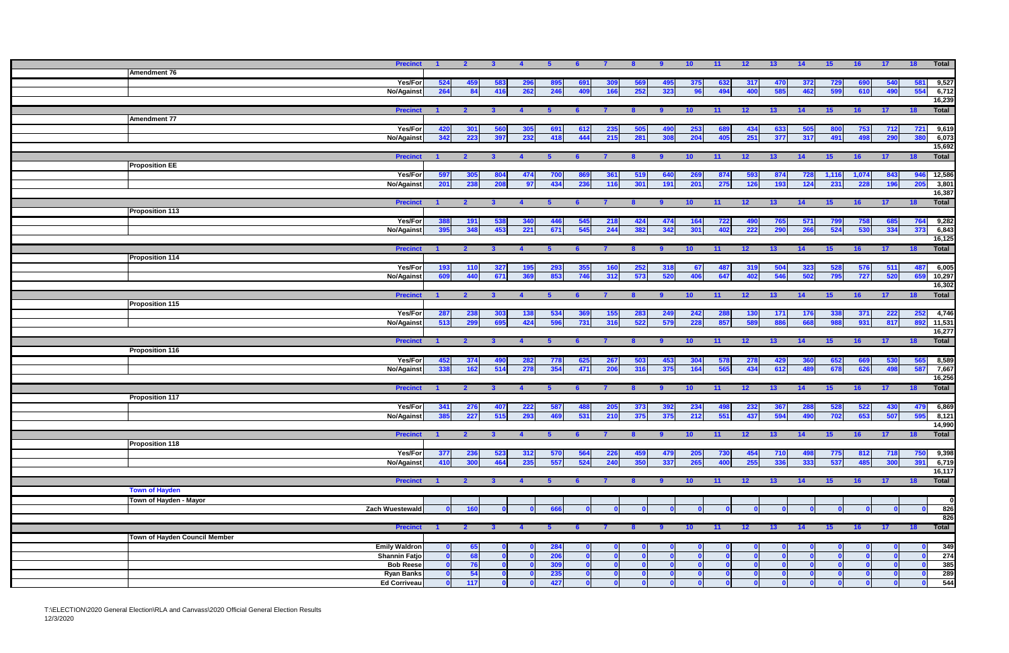|                               | <b>Precinct</b>        |              | $\overline{2}$          | 3 <sup>1</sup> | $\overline{4}$ | $5^{\circ}$ | 6   | $\overline{7}$ | - 8 | -9   | 10 <sub>1</sub> | $-11$ | 12              | 13              | 14  | 15              | 16    | 17 <sup>2</sup> | 18            | Total        |
|-------------------------------|------------------------|--------------|-------------------------|----------------|----------------|-------------|-----|----------------|-----|------|-----------------|-------|-----------------|-----------------|-----|-----------------|-------|-----------------|---------------|--------------|
| Amendment 76                  |                        |              |                         |                |                |             |     |                |     |      |                 |       |                 |                 |     |                 |       |                 |               |              |
|                               |                        |              |                         |                |                |             |     |                |     |      |                 |       |                 |                 |     |                 |       |                 |               |              |
|                               | Yes/For                | 524          | 459                     | 583            | 296            | 895         | 691 | 309            | 569 | 495  | 375             | 632   | 317             | 470             | 372 | 729             | 690   | 540             | 581           | 9,527        |
|                               | <b>No/Against</b>      | 264          | -84                     | 416            | 262            | 246         | 409 | 166            | 252 | 323  |                 | 494   | 400             | 585             | 462 | 599             | 610   | 490             | 554           | 6,712        |
|                               |                        |              |                         |                |                |             |     |                |     |      |                 |       |                 |                 |     |                 |       |                 |               | 16,239       |
|                               | <b>Precinct</b>        |              | $\overline{2}$          | $\mathbf{3}$   |                |             |     |                | -8  |      | 10              | 11    | 12 <sub>2</sub> | 13              | 14  | 15              | 16    | 17              | 18            | Total        |
| <b>Amendment 77</b>           |                        |              |                         |                |                |             |     |                |     |      |                 |       |                 |                 |     |                 |       |                 |               |              |
|                               | Yes/For                | 420          | 301                     | 560            |                | 691         | 612 | 235            | 505 | 490  | 253             | 689   | 434             | 633             | 505 | 800             | 753   | 712             | 721           | 9,619        |
|                               | <b>No/Against</b>      | 342          | 223                     | 397            | 232            | 418         | 444 | 215            | 281 | 308  | 204             | 405   | 251             | 377             | 317 | 491             | 498   | 290             | 380           | 6,073        |
|                               |                        |              |                         |                |                |             |     |                |     |      |                 |       |                 |                 |     |                 |       |                 |               | 15,692       |
|                               | <b>Precinct</b>        |              | $\overline{\mathbf{z}}$ |                |                |             |     |                |     |      | 10              | 11    | 12              | 13              | 14  | 15              | 16    | 17              | 18            | <b>Total</b> |
|                               |                        |              |                         |                |                |             |     |                |     |      |                 |       |                 |                 |     |                 |       |                 |               |              |
| <b>Proposition EE</b>         |                        |              |                         |                |                |             |     |                |     |      |                 |       |                 |                 |     |                 |       |                 |               |              |
|                               | Yes/For                | 597          | 305                     | 804            | 474            | 700         | 869 | 361            | 519 | 640  | 269             | 874   | 593             | 874             | 728 | 1,116           | 1,074 | 843             | 946           | 12,586       |
|                               | <b>No/Against</b>      | 201          | 238                     | 208            | 97             | 434         | 236 | 116            | 301 | 191  | 201             | 275   | 126             | 193             | 124 | 231             | 228   | 196             | 205           | 3,801        |
|                               |                        |              |                         |                |                |             |     |                |     |      |                 |       |                 |                 |     |                 |       |                 |               | 16,387       |
|                               | <b>Precinct</b>        |              | $\mathbf{2}$            | $\mathbf{3}$   |                |             |     |                |     |      | 10 <sub>1</sub> | 11    | 12 <sub>2</sub> | 13              | 14  | 15 <sub>1</sub> | 16    | 17 <sup>2</sup> | $-18$         | <b>Total</b> |
| <b>Proposition 113</b>        |                        |              |                         |                |                |             |     |                |     |      |                 |       |                 |                 |     |                 |       |                 |               |              |
|                               | Yes/For                | 388          | 191                     | 538            | 340            | 446         | 545 | 218            | 424 | 474  | 164             | 722   | 490             | 765             | 571 | 799             | 758   | 685             | 764           | 9,282        |
|                               | <b>No/Against</b>      | 395          | 348                     | 453            | 221            | 671         | 545 | 244            | 382 | 342  | 301             | 402   | 222             | 290             | 266 | 524             | 530   | 334             | 373           | 6,843        |
|                               |                        |              |                         |                |                |             |     |                |     |      |                 |       |                 |                 |     |                 |       |                 |               | 16,125       |
|                               | <b>Precinct</b>        |              | $\overline{2}$          | $\mathbf{3}$   |                |             |     |                |     |      |                 |       |                 | 13              | 14  | 15              | 16    | 17 <sup>2</sup> | 18            | Total        |
|                               |                        |              |                         |                |                |             |     |                |     |      | 10              | 11    | 12 <sub>2</sub> |                 |     |                 |       |                 |               |              |
| <b>Proposition 114</b>        |                        |              |                         |                |                |             |     |                |     |      |                 |       |                 |                 |     |                 |       |                 |               |              |
|                               | Yes/For                | 193          | 110                     | 327            |                | 293         | 355 | 160            | 252 | 318  | 67              | 487   | 319             | 504             | 323 | 528             | 576   | 511             | 487           | 6,005        |
|                               | <b>No/Against</b>      | 609          | 440                     | 671            | 369            | 853         | 746 | 312            | 573 | 520  | 406             | 647   | 402             | 546             | 502 | 795             | 727   | 520             | 659           | 10,297       |
|                               |                        |              |                         |                |                |             |     |                |     |      |                 |       |                 |                 |     |                 |       |                 |               | 16,302       |
|                               | <b>Precinct</b>        |              | $\overline{2}$          | $\mathbf{3}$   |                |             |     |                | -8  |      | 10              | $-11$ | 12 <sub>2</sub> | 13 <sup>°</sup> | 14  | 15              | 16    | 17              | 18            | <b>Total</b> |
| <b>Proposition 115</b>        |                        |              |                         |                |                |             |     |                |     |      |                 |       |                 |                 |     |                 |       |                 |               |              |
|                               | Yes/For                | 287          | 238                     | 303            | 138            | 534         | 369 | 155            | 283 | 249  | 242             | 288   | 130             | 171             | 176 | 338             | 371   | 222             | 252           | 4,746        |
|                               | <b>No/Against</b>      | 513          | 299                     | 695            | 424            | 596         | 731 | 316            | 522 | 579  | 228             | 857   | 589             | 886             | 668 | 988             | 931   | 81              | 892           | 11,531       |
|                               |                        |              |                         |                |                |             |     |                |     |      |                 |       |                 |                 |     |                 |       |                 |               | 16,277       |
|                               | <b>Precinct</b>        |              | $\mathbf{2}$            | $\mathbf{3}$   | $\overline{4}$ | 5.          | 6   |                | -8  |      | 10 <sub>1</sub> | 11    | 12 <sup>2</sup> | 13              | 14  | 15              | 16    | 17 <sup>2</sup> | 18            | Total        |
|                               |                        |              |                         |                |                |             |     |                |     |      |                 |       |                 |                 |     |                 |       |                 |               |              |
| <b>Proposition 116</b>        |                        |              |                         |                |                |             |     |                |     |      |                 |       |                 |                 |     |                 |       |                 |               |              |
|                               | Yes/For                | 452          | 374                     | 490            | 282            | 778         | 625 | 267            | 503 | 453  | 304             | 578   | 278             | 429             | 360 | 652             |       | 530             | 565           | 8,589        |
|                               | <b>No/Against</b>      | 338          | 162                     | 514            | 278            | 354         | 471 | 206            | 316 | 375  | 164             | 565   | 434             | 612             | 489 | 678             | 626   | 498             | 587           | 7,667        |
|                               |                        |              |                         |                |                |             |     |                |     |      |                 |       |                 |                 |     |                 |       |                 |               | 16,256       |
|                               | <b>Precinct</b>        |              | $\mathbf{2}$            | $\mathbf{3}$   |                |             |     |                |     |      | 10              | 11    | 12 <sub>2</sub> | 13              | 14  | 15              | 16    | 17 <sup>2</sup> | 18            | Total        |
| <b>Proposition 117</b>        |                        |              |                         |                |                |             |     |                |     |      |                 |       |                 |                 |     |                 |       |                 |               |              |
|                               | Yes/For                | 341          | 276                     | 407            | -222           | 587         |     | 205            | 373 | -392 | 234             | -498  | 232             | 367             | 288 | 528             | 522   | 430             | 479           | 6,869        |
|                               | <b>No/Against</b>      | 385          | 227                     | 515            | 293            | 469         | 531 | 210            | 375 | 375  | 212             | 551   | 437             | 594             | 490 | 702             | 653   | 507             | 595           | 8,121        |
|                               |                        |              |                         |                |                |             |     |                |     |      |                 |       |                 |                 |     |                 |       |                 |               | 14,990       |
|                               |                        |              |                         |                |                |             |     |                |     |      |                 |       |                 |                 |     |                 |       |                 |               |              |
|                               | <b>Precinct</b>        |              | $\overline{2}$          | $\mathbf{3}$   |                |             |     |                |     |      | 10 <sup>°</sup> | 11    | 12 <sup>2</sup> | 13              | 14  | 15              | 16    | 17 <sup>2</sup> | 18            | Total        |
| <b>Proposition 118</b>        |                        |              |                         |                |                |             |     |                |     |      |                 |       |                 |                 |     |                 |       |                 |               |              |
|                               | Yes/For                | 377          | 236                     | 523            | 312            | 570         | 564 | 226            | 459 | 479  | <b>205</b>      | 730   | 454             | 710             | 498 | 775             | 812   | 718             | 750           | 9,398        |
|                               | <b>No/Against</b>      | 410          | 300                     | 464            | 235            | 557         | 524 | 240            | 350 | 337  | 265             | 400   | 255             | 336             | 333 | 537             | 485   | 300             | 391           | 6,719        |
|                               |                        |              |                         |                |                |             |     |                |     |      |                 |       |                 |                 |     |                 |       |                 |               | 16,117       |
|                               | <b>Precinct</b>        |              | $\overline{2}$          | $\mathbf{3}$   | $\mathbf{A}$   | -5          | -6  |                | -8  |      | 10 <sup>°</sup> | $-11$ | 12 <sup>2</sup> | 13              | 14  | 15              | 16    | 17 <sup>2</sup> | 18            | <b>Total</b> |
| <b>Town of Hayden</b>         |                        |              |                         |                |                |             |     |                |     |      |                 |       |                 |                 |     |                 |       |                 |               |              |
| Town of Hayden - Mayor        |                        |              |                         |                |                |             |     |                |     |      |                 |       |                 |                 |     |                 |       |                 |               | $\Omega$     |
|                               | <b>Zach Wuestewald</b> |              | 160                     |                |                | 666         |     |                |     |      |                 |       |                 |                 |     |                 |       |                 |               | 826          |
|                               |                        |              |                         |                |                |             |     |                |     |      |                 |       |                 |                 |     |                 |       |                 |               | 826          |
|                               |                        |              |                         |                |                |             |     |                |     |      |                 |       |                 |                 |     |                 |       |                 |               |              |
|                               | <b>Precinct</b>        |              | $\overline{2}$          | $\mathbf{3}$   |                |             | - 6 |                |     |      | 10 <sup>°</sup> | $-11$ | 12 <sup>2</sup> | 13              | 14  | 15              | 16    | $-17$           | $^{\circ}$ 18 | Total        |
| Town of Hayden Council Member |                        |              |                         |                |                |             |     |                |     |      |                 |       |                 |                 |     |                 |       |                 |               |              |
|                               | <b>Emily Waldron</b>   | $\mathbf{a}$ | 65                      |                |                | 284         |     |                |     |      |                 |       |                 |                 |     |                 |       |                 |               | 349          |
|                               | <b>Shannin Fatjo</b>   |              | 68                      |                |                | 206         |     |                |     |      |                 |       |                 |                 |     |                 |       |                 |               | 274          |
|                               | <b>Bob Reese</b>       |              | 76                      |                |                | 309         |     |                |     |      |                 |       |                 |                 |     |                 |       |                 |               | 385          |
|                               | <b>Ryan Banks</b>      |              | 54                      |                |                | 235         |     |                |     |      |                 | n     |                 |                 |     |                 |       |                 |               | 289          |
|                               | <b>Ed Corriveau</b>    |              | 117                     |                |                | 427         |     |                |     |      |                 |       |                 |                 |     |                 |       |                 |               | 544          |
|                               |                        |              |                         |                |                |             |     |                |     |      |                 |       |                 |                 |     |                 |       |                 |               |              |